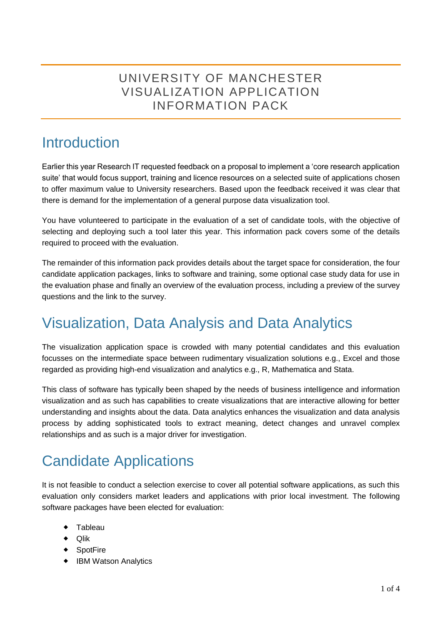### UNIVERSITY OF MANCHESTER VISUALIZATION APPLICATION INFORMATION PACK

## **Introduction**

Earlier this year Research IT requested feedback on a proposal to implement a 'core research application suite' that would focus support, training and licence resources on a selected suite of applications chosen to offer maximum value to University researchers. Based upon the feedback received it was clear that there is demand for the implementation of a general purpose data visualization tool.

You have volunteered to participate in the evaluation of a set of candidate tools, with the objective of selecting and deploying such a tool later this year. This information pack covers some of the details required to proceed with the evaluation.

The remainder of this information pack provides details about the target space for consideration, the four candidate application packages, links to software and training, some optional case study data for use in the evaluation phase and finally an overview of the evaluation process, including a preview of the survey questions and the link to the survey.

## Visualization, Data Analysis and Data Analytics

The visualization application space is crowded with many potential candidates and this evaluation focusses on the intermediate space between rudimentary visualization solutions e.g., Excel and those regarded as providing high-end visualization and analytics e.g., R, Mathematica and Stata.

This class of software has typically been shaped by the needs of business intelligence and information visualization and as such has capabilities to create visualizations that are interactive allowing for better understanding and insights about the data. Data analytics enhances the visualization and data analysis process by adding sophisticated tools to extract meaning, detect changes and unravel complex relationships and as such is a major driver for investigation.

# Candidate Applications

It is not feasible to conduct a selection exercise to cover all potential software applications, as such this evaluation only considers market leaders and applications with prior local investment. The following software packages have been elected for evaluation:

- Tableau
- ◆ Qlik
- ◆ SpotFire
- IBM Watson Analytics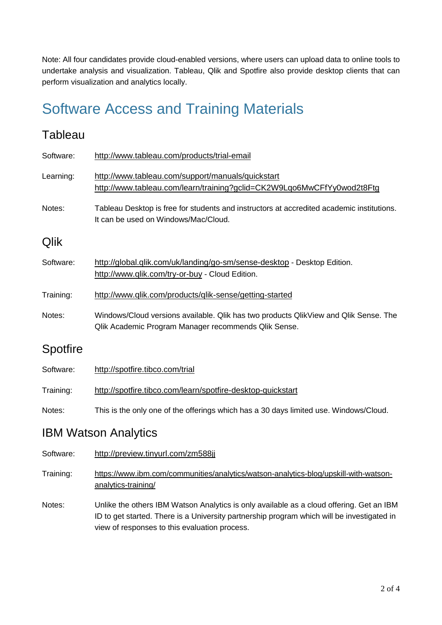Note: All four candidates provide cloud-enabled versions, where users can upload data to online tools to undertake analysis and visualization. Tableau, Qlik and Spotfire also provide desktop clients that can perform visualization and analytics locally.

# Software Access and Training Materials

#### **Tableau**

| Software:       | http://www.tableau.com/products/trial-email                                                                                                  |  |  |  |
|-----------------|----------------------------------------------------------------------------------------------------------------------------------------------|--|--|--|
| Learning:       | http://www.tableau.com/support/manuals/quickstart<br>http://www.tableau.com/learn/training?gclid=CK2W9Lgo6MwCFfYy0wod2t8Ftg                  |  |  |  |
| Notes:          | Tableau Desktop is free for students and instructors at accredited academic institutions.<br>It can be used on Windows/Mac/Cloud.            |  |  |  |
| Qlik            |                                                                                                                                              |  |  |  |
| Software:       | http://global.qlik.com/uk/landing/go-sm/sense-desktop - Desktop Edition.<br>http://www.qlik.com/try-or-buy - Cloud Edition.                  |  |  |  |
| Training:       | http://www.qlik.com/products/qlik-sense/getting-started                                                                                      |  |  |  |
| Notes:          | Windows/Cloud versions available. Qlik has two products QlikView and Qlik Sense. The<br>Qlik Academic Program Manager recommends Qlik Sense. |  |  |  |
| <b>Spotfire</b> |                                                                                                                                              |  |  |  |
| Software:       | http://spotfire.tibco.com/trial                                                                                                              |  |  |  |
| Training:       | http://spotfire.tibco.com/learn/spotfire-desktop-quickstart                                                                                  |  |  |  |
| Notes:          | This is the only one of the offerings which has a 30 days limited use. Windows/Cloud.                                                        |  |  |  |

#### IBM Watson Analytics

- Software: <http://preview.tinyurl.com/zm588jj>
- Training: [https://www.ibm.com/communities/analytics/watson-analytics-blog/upskill-with-watson](https://www.ibm.com/communities/analytics/watson-analytics-blog/upskill-with-watson-analytics-training/)[analytics-training/](https://www.ibm.com/communities/analytics/watson-analytics-blog/upskill-with-watson-analytics-training/)
- Notes: Unlike the others IBM Watson Analytics is only available as a cloud offering. Get an IBM ID to get started. There is a University partnership program which will be investigated in view of responses to this evaluation process.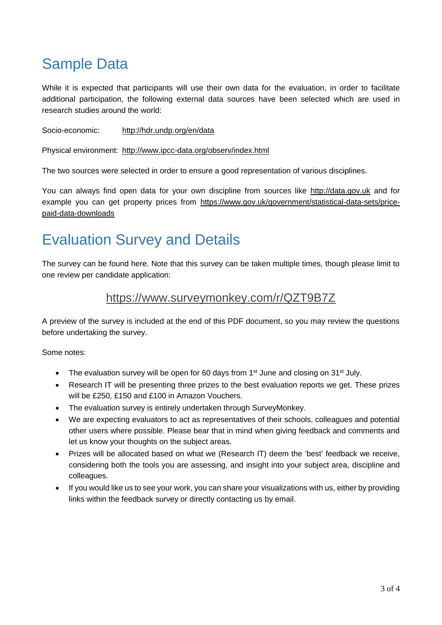# Sample Data

While it is expected that participants will use their own data for the evaluation, in order to facilitate additional participation, the following external data sources have been selected which are used in research studies around the world:

Socio-economic: <http://hdr.undp.org/en/data>

Physical environment: <http://www.ipcc-data.org/observ/index.html>

The two sources were selected in order to ensure a good representation of various disciplines.

You can always find open data for your own discipline from sources like [http://data.gov.uk](http://data.gov.uk/) and for example you can get property prices from [https://www.gov.uk/government/statistical-data-sets/price](https://www.gov.uk/government/statistical-data-sets/price-paid-data-downloads)[paid-data-downloads](https://www.gov.uk/government/statistical-data-sets/price-paid-data-downloads)

## Evaluation Survey and Details

The survey can be found here. Note that this survey can be taken multiple times, though please limit to one review per candidate application:

#### <https://www.surveymonkey.com/r/QZT9B7Z>

A preview of the survey is included at the end of this PDF document, so you may review the questions before undertaking the survey.

Some notes:

- The evaluation survey will be open for 60 days from  $1<sup>st</sup>$  June and closing on  $31<sup>st</sup>$  July.
- Research IT will be presenting three prizes to the best evaluation reports we get. These prizes will be £250, £150 and £100 in Amazon Vouchers.
- The evaluation survey is entirely undertaken through SurveyMonkey.
- We are expecting evaluators to act as representatives of their schools, colleagues and potential other users where possible. Please bear that in mind when giving feedback and comments and let us know your thoughts on the subject areas.
- Prizes will be allocated based on what we (Research IT) deem the 'best' feedback we receive, considering both the tools you are assessing, and insight into your subject area, discipline and colleagues.
- If you would like us to see your work, you can share your visualizations with us, either by providing links within the feedback survey or directly contacting us by email.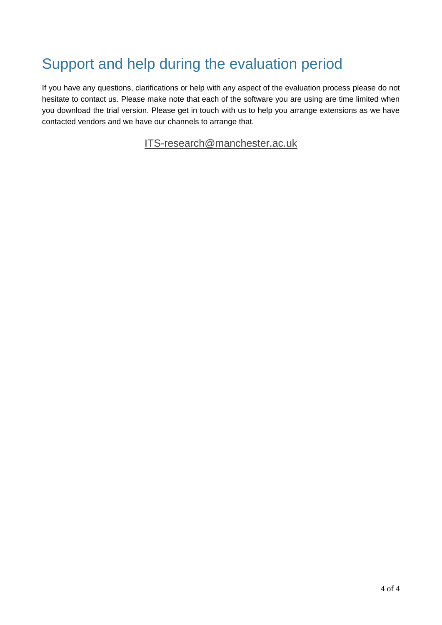# Support and help during the evaluation period

If you have any questions, clarifications or help with any aspect of the evaluation process please do not hesitate to contact us. Please make note that each of the software you are using are time limited when you download the trial version. Please get in touch with us to help you arrange extensions as we have contacted vendors and we have our channels to arrange that.

[ITS-research@manchester.ac.uk](mailto:ITS-research@manchester.ac.uk)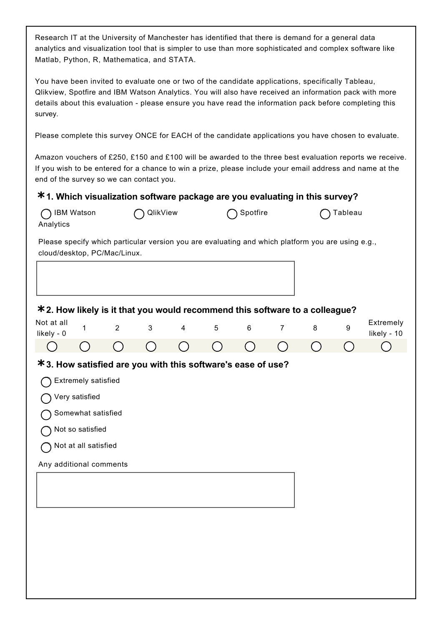Research IT at the University of Manchester has identified that there is demand for a general data analytics and visualization tool that is simpler to use than more sophisticated and complex software like Matlab, Python, R, Mathematica, and STATA.

You have been invited to evaluate one or two of the candidate applications, specifically Tableau, Qlikview, Spotfire and IBM Watson Analytics. You will also have received an information pack with more details about this evaluation - please ensure you have read the information pack before completing this survey.

Please complete this survey ONCE for EACH of the candidate applications you have chosen to evaluate.

Amazon vouchers of £250, £150 and £100 will be awarded to the three best evaluation reports we receive. If you wish to be entered for a chance to win a prize, please include your email address and name at the end of the survey so we can contact you.

#### **\* 1. Which visualization software package are you evaluating in this survey?**

| <b>IBM Watson</b><br>Analytics                                                                                                                                                                    |                | QlikView     |   |   | Spotfire |                |   | Tableau |                          |
|---------------------------------------------------------------------------------------------------------------------------------------------------------------------------------------------------|----------------|--------------|---|---|----------|----------------|---|---------|--------------------------|
| Please specify which particular version you are evaluating and which platform you are using e.g.,<br>cloud/desktop, PC/Mac/Linux.                                                                 |                |              |   |   |          |                |   |         |                          |
|                                                                                                                                                                                                   |                |              |   |   |          |                |   |         |                          |
| * 2. How likely is it that you would recommend this software to a colleague?                                                                                                                      |                |              |   |   |          |                |   |         |                          |
| Not at all<br>$\mathbf{1}$<br>likely - 0                                                                                                                                                          | $\overline{2}$ | $\mathbf{3}$ | 4 | 5 | $\,6\,$  | $\overline{7}$ | 8 | 9       | Extremely<br>likely - 10 |
|                                                                                                                                                                                                   |                |              |   |   |          | - 1            |   |         |                          |
| *3. How satisfied are you with this software's ease of use?<br>Extremely satisfied<br>Very satisfied<br>Somewhat satisfied<br>Not so satisfied<br>Not at all satisfied<br>Any additional comments |                |              |   |   |          |                |   |         |                          |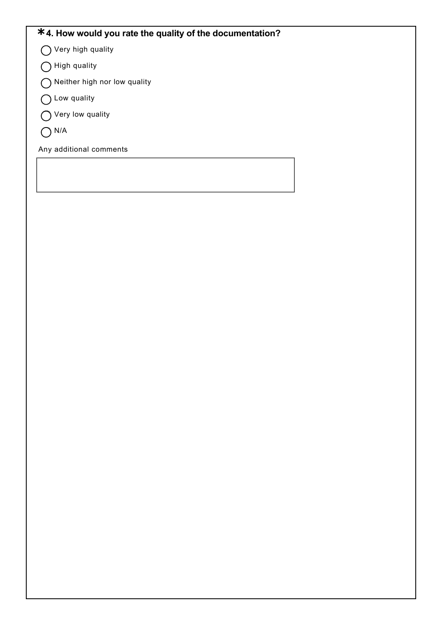#### **\*4. How would you rate the quality of the documentation?**

Very high quality

- $\bigcirc$  High quality
- $\bigcirc$  Neither high nor low quality
- ◯ Low quality
- Very low quality
- $O<sup>N/A</sup>$

Any additional comments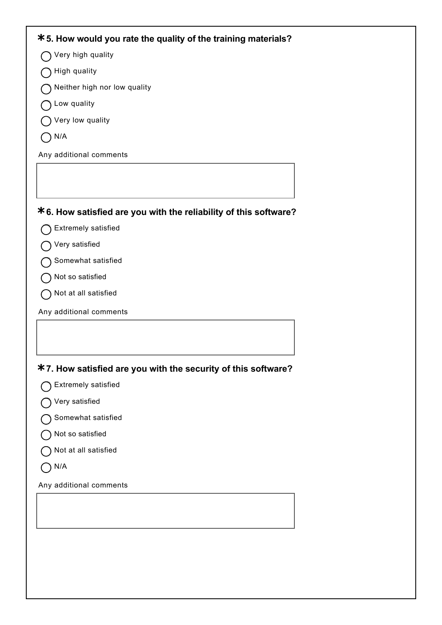| *5. How would you rate the quality of the training materials?    |
|------------------------------------------------------------------|
| Very high quality                                                |
| High quality                                                     |
| Neither high nor low quality                                     |
| Low quality                                                      |
| Very low quality                                                 |
| N/A                                                              |
| Any additional comments                                          |
|                                                                  |
|                                                                  |
| *6. How satisfied are you with the reliability of this software? |
| Extremely satisfied                                              |
| Very satisfied                                                   |
| Somewhat satisfied                                               |
| Not so satisfied                                                 |
| Not at all satisfied                                             |
| Any additional comments                                          |
|                                                                  |
|                                                                  |
| *7. How satisfied are you with the security of this software?    |
| Extremely satisfied                                              |
| Very satisfied                                                   |
| Somewhat satisfied                                               |
| Not so satisfied                                                 |
| Not at all satisfied                                             |
| N/A                                                              |
| Any additional comments                                          |
|                                                                  |
|                                                                  |
|                                                                  |
|                                                                  |
|                                                                  |
|                                                                  |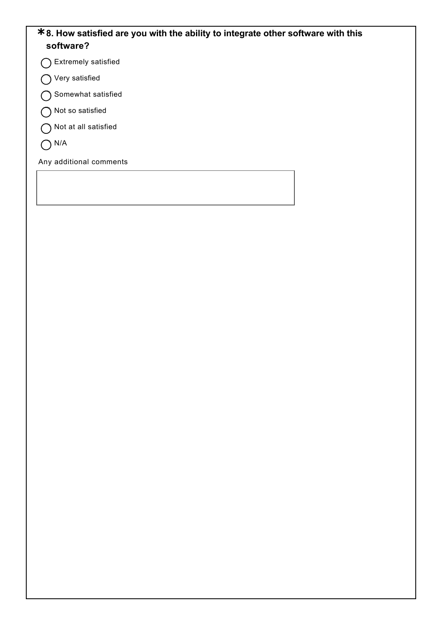#### **\*8. How satisfied are you with the ability to integrate other software with this software?**

Extremely satisfied

Very satisfied

Somewhat satisfied

◯ Not so satisfied

Not at all satisfied

 $O<sub>N/A</sub>$ 

Any additional comments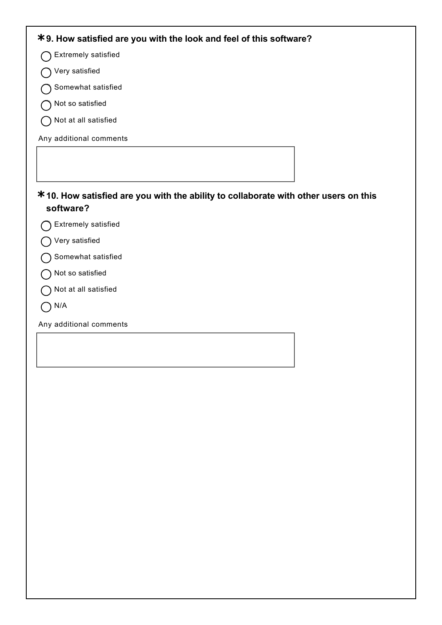| *9. How satisfied are you with the look and feel of this software?                                      |  |  |
|---------------------------------------------------------------------------------------------------------|--|--|
| <b>Extremely satisfied</b>                                                                              |  |  |
| Very satisfied                                                                                          |  |  |
| Somewhat satisfied                                                                                      |  |  |
| Not so satisfied                                                                                        |  |  |
| Not at all satisfied                                                                                    |  |  |
| Any additional comments                                                                                 |  |  |
|                                                                                                         |  |  |
|                                                                                                         |  |  |
| <b>*10. How satisfied are you with the ability to collaborate with other users on this</b><br>software? |  |  |
| Extremely satisfied                                                                                     |  |  |
| Very satisfied                                                                                          |  |  |
| Somewhat satisfied                                                                                      |  |  |
|                                                                                                         |  |  |
| Not so satisfied                                                                                        |  |  |
| Not at all satisfied                                                                                    |  |  |
| N/A                                                                                                     |  |  |
| Any additional comments                                                                                 |  |  |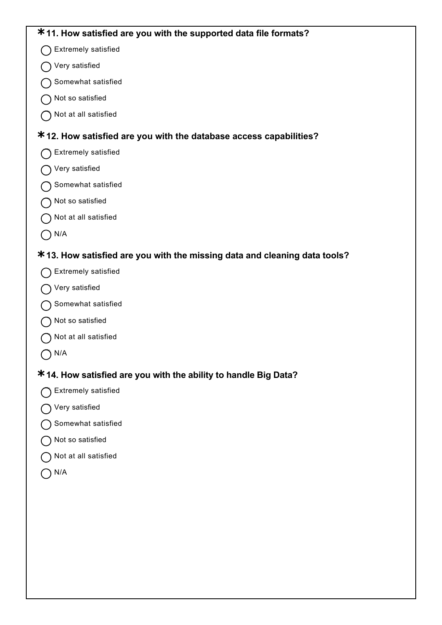#### **\* 11. How satisfied are you with the supported data file formats?**

- ◯ Extremely satisfied
- Very satisfied
- ◯ Somewhat satisfied
- ◯ Not so satisfied
- ◯ Not at all satisfied

### **\* 12. How satisfied are you with the database access capabilities?**

- ◯ Extremely satisfied
- Very satisfied
- Somewhat satisfied
- ◯ Not so satisfied
- Not at all satisfied
- $\bigcap$  N/A

#### **\* 13. How satisfied are you with the missing data and cleaning data tools?**

- ◯ Extremely satisfied
- ◯ Very satisfied
- ◯ Somewhat satisfied
- ◯ Not so satisfied
- Not at all satisfied
- $O<sub>N/A</sub>$

### **\* 14. How satisfied are you with the ability to handle Big Data?**

- ◯ Extremely satisfied
- Very satisfied
- ◯ Somewhat satisfied
- ◯ Not so satisfied
- Not at all satisfied
- $O$  N/A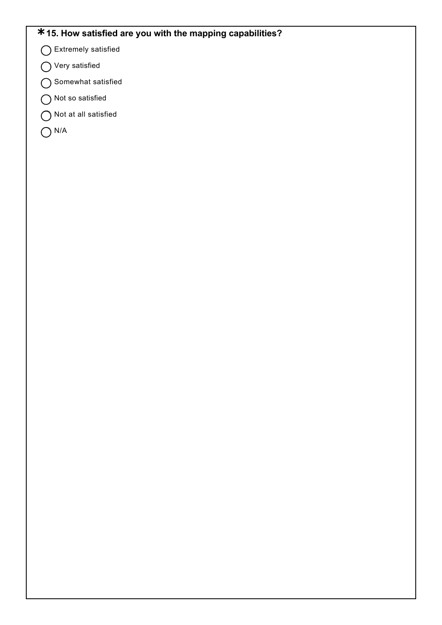### **\*15. How satisfied are you with the mapping capabilities?**

- Extremely satisfied
- Very satisfied
- Somewhat satisfied
- Not so satisfied
- Not at all satisfied
- $O<sup>N/A</sup>$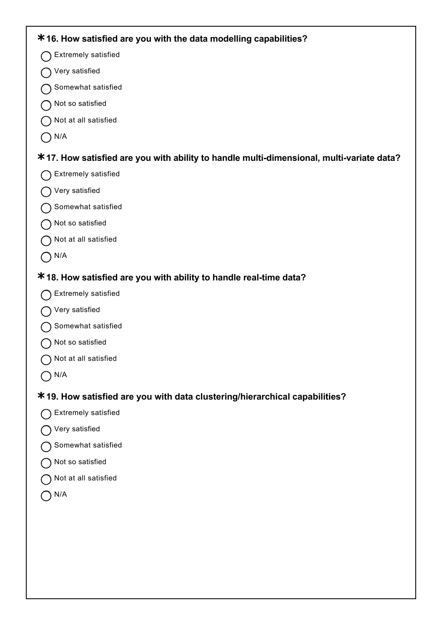| *16. How satisfied are you with the data modelling capabilities?                         |
|------------------------------------------------------------------------------------------|
| <b>Extremely satisfied</b>                                                               |
| Very satisfied                                                                           |
| Somewhat satisfied                                                                       |
| Not so satisfied                                                                         |
| Not at all satisfied                                                                     |
| N/A                                                                                      |
| *17. How satisfied are you with ability to handle multi-dimensional, multi-variate data? |
| <b>Extremely satisfied</b>                                                               |
| Very satisfied                                                                           |
| Somewhat satisfied                                                                       |
| Not so satisfied                                                                         |
| Not at all satisfied                                                                     |
| N/A                                                                                      |
| *18. How satisfied are you with ability to handle real-time data?                        |
| <b>Extremely satisfied</b>                                                               |
| Very satisfied                                                                           |
| Somewhat satisfied                                                                       |
| Not so satisfied                                                                         |
| ◯ Not at all satisfied                                                                   |
| ) N/A                                                                                    |
| * 19. How satisfied are you with data clustering/hierarchical capabilities?              |
| Extremely satisfied                                                                      |
| Very satisfied                                                                           |
| Somewhat satisfied                                                                       |
| Not so satisfied                                                                         |
| Not at all satisfied                                                                     |
| N/A                                                                                      |
|                                                                                          |
|                                                                                          |
|                                                                                          |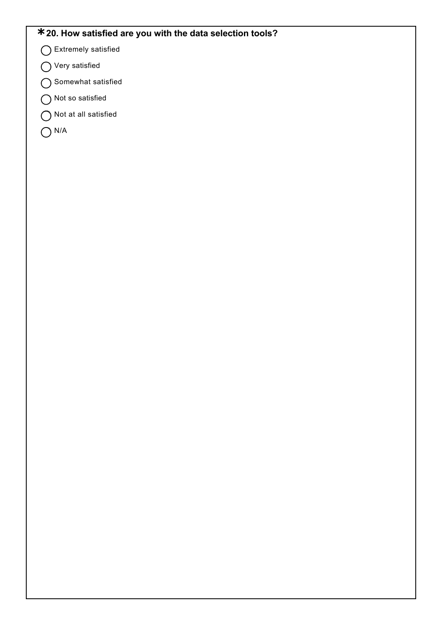## **\*20. How satisfied are you with the data selection tools?**

- Extremely satisfied
- Very satisfied
- Somewhat satisfied
- Not so satisfied
- Not at all satisfied
- $O<sup>N/A</sup>$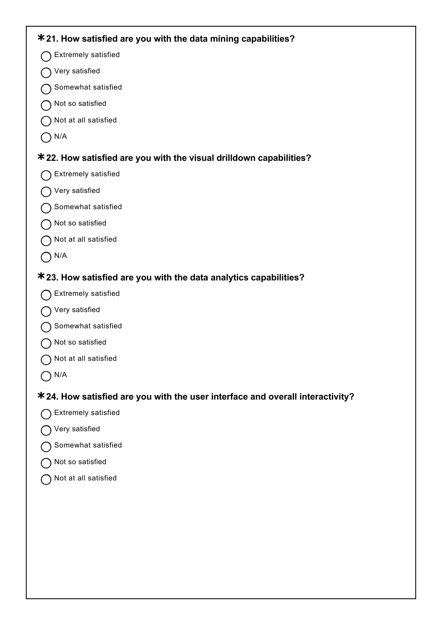## **\* 21. How satisfied are you with the data mining capabilities? \* 22. How satisfied are you with the visual drilldown capabilities? \* 23. How satisfied are you with the data analytics capabilities? \* 24. How satisfied are you with the user interface and overall interactivity?** ◯ Extremely satisfied Very satisfied Somewhat satisfied O Not so satisfied Not at all satisfied  $\bigcap$  N/A ◯ Extremely satisfied Very satisfied Somewhat satisfied ◯ Not so satisfied Not at all satisfied  $O<sup>N/A</sup>$ ◯ Extremely satisfied O Very satisfied ◯ Somewhat satisfied O Not so satisfied O Not at all satisfied  $\bigcap N/A$ ◯ Extremely satisfied O Very satisfied ◯ Somewhat satisfied O Not so satisfied

Not at all satisfied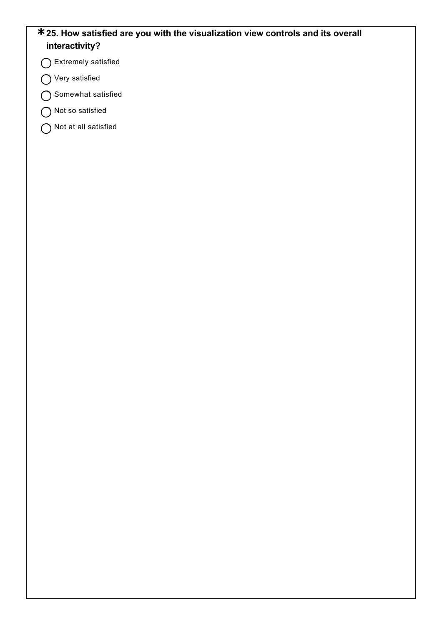#### **\*25. How satisfied are you with the visualization view controls and its overall interactivity?**

Extremely satisfied

◯ Very satisfied

Somewhat satisfied

◯ Not so satisfied

Not at all satisfied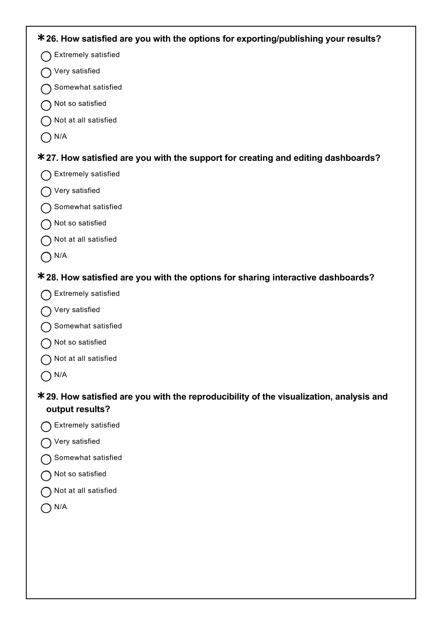| * 26. How satisfied are you with the options for exporting/publishing your results?           |
|-----------------------------------------------------------------------------------------------|
| Extremely satisfied                                                                           |
| Very satisfied                                                                                |
| Somewhat satisfied                                                                            |
| Not so satisfied                                                                              |
| Not at all satisfied                                                                          |
| N/A                                                                                           |
| *27. How satisfied are you with the support for creating and editing dashboards?              |
| Extremely satisfied                                                                           |
| Very satisfied                                                                                |
| Somewhat satisfied                                                                            |
| Not so satisfied                                                                              |
| Not at all satisfied                                                                          |
| N/A                                                                                           |
| *28. How satisfied are you with the options for sharing interactive dashboards?               |
| <b>Extremely satisfied</b>                                                                    |
| Very satisfied                                                                                |
| Somewhat satisfied                                                                            |
| Not so satisfied                                                                              |
| Not at all satisfied                                                                          |
| N/A                                                                                           |
| <b>*29. How satisfied are you with the reproducibility of the visualization, analysis and</b> |
| output results?                                                                               |
| <b>Extremely satisfied</b>                                                                    |
| Very satisfied                                                                                |
| Somewhat satisfied                                                                            |
| Not so satisfied                                                                              |
| Not at all satisfied                                                                          |

O N/A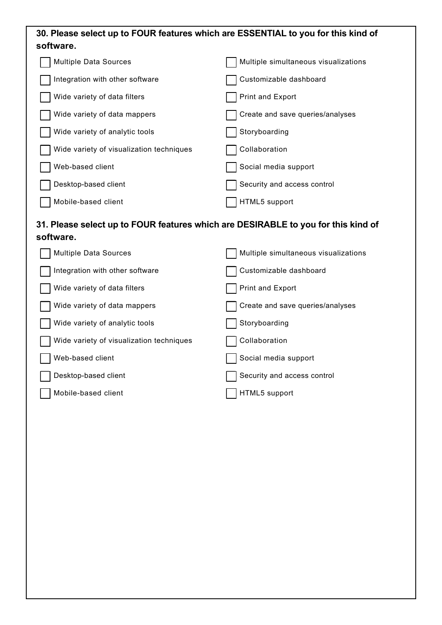| 30. Please select up to FOUR features which are ESSENTIAL to you for this kind of<br>software. |                                      |  |  |  |  |
|------------------------------------------------------------------------------------------------|--------------------------------------|--|--|--|--|
| <b>Multiple Data Sources</b>                                                                   | Multiple simultaneous visualizations |  |  |  |  |
| Integration with other software                                                                | Customizable dashboard               |  |  |  |  |
| Wide variety of data filters                                                                   | Print and Export                     |  |  |  |  |
| Wide variety of data mappers                                                                   | Create and save queries/analyses     |  |  |  |  |
| Wide variety of analytic tools                                                                 | Storyboarding                        |  |  |  |  |
| Wide variety of visualization techniques                                                       | Collaboration                        |  |  |  |  |
| Web-based client                                                                               | Social media support                 |  |  |  |  |
| Desktop-based client                                                                           | Security and access control          |  |  |  |  |
| Mobile-based client                                                                            | HTML5 support                        |  |  |  |  |
| 31. Please select up to FOUR features which are DESIRABLE to you for this kind of<br>software. |                                      |  |  |  |  |
| <b>Multiple Data Sources</b>                                                                   | Multiple simultaneous visualizations |  |  |  |  |
| Integration with other software                                                                | Customizable dashboard               |  |  |  |  |
| Wide variety of data filters                                                                   | Print and Export                     |  |  |  |  |
| Wide variety of data mappers                                                                   | Create and save queries/analyses     |  |  |  |  |
| Wide variety of analytic tools                                                                 | Storyboarding                        |  |  |  |  |
| Wide variety of visualization techniques                                                       | Collaboration                        |  |  |  |  |
| Web-based client                                                                               | Social media support                 |  |  |  |  |
| Desktop-based client                                                                           | Security and access control          |  |  |  |  |
| Mobile-based client                                                                            | HTML5 support                        |  |  |  |  |
|                                                                                                |                                      |  |  |  |  |
|                                                                                                |                                      |  |  |  |  |
|                                                                                                |                                      |  |  |  |  |
|                                                                                                |                                      |  |  |  |  |
|                                                                                                |                                      |  |  |  |  |
|                                                                                                |                                      |  |  |  |  |